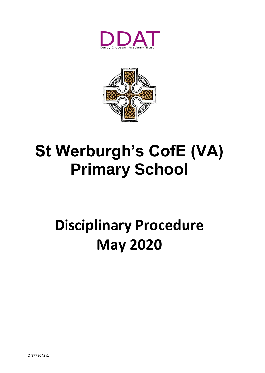



# **St Werburgh's CofE (VA) Primary School**

## **Disciplinary Procedure May 2020**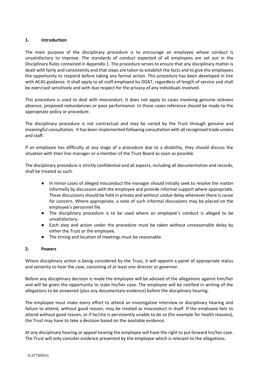## **1. Introduction**

The main purpose of the disciplinary procedure is to encourage an employee whose conduct is unsatisfactory to improve. The standards of conduct expected of all employees are set out in the Disciplinary Rules contained in Appendix 1. The procedure serves to ensure that any disciplinary matter is dealt with fairly and consistently and that steps are taken to establish the facts and to give the employees the opportunity to respond before taking any formal action. This procedure has been developed in line with ACAS guidance. It shall apply to all staff employed by DDAT, regardless of length of service and shall be exercised sensitively and with due respect for the privacy of any individuals involved.

This procedure is used to deal with misconduct. It does not apply to cases involving genuine sickness absence, proposed redundancies or poor performance. In those cases reference should be made to the appropriate policy or procedure.

The disciplinary procedure is not contractual and may be varied by the Trust through genuine and meaningful consultation. It has been implemented following consultation with all recognised trade unions and staff.

If an employee has difficulty at any stage of a procedure due to a disability, they should discuss the situation with their line manager or a member of the Trust Board as soon as possible.

The disciplinary procedure is strictly confidential and all aspects, including all documentation and records, shall be treated as such.

- In minor cases of alleged misconduct the manager should initially seek to resolve the matter informally by discussion with the employee and provide informal support where appropriate. These discussions should be held in private and without undue delay whenever there is cause for concern. Where appropriate, a note of such informal discussions may be placed on the employee's personnel file.
- The disciplinary procedure is to be used where an employee's conduct is alleged to be unsatisfactory.
- Each step and action under the procedure must be taken without unreasonable delay by either the Trust or the employee.
- The timing and location of meetings must be reasonable.

## **2. Powers**

Where disciplinary action is being considered by the Trust, it will appoint a panel of appropriate status and seniority to hear the case, consisting of at least one director or governor.

Before any disciplinary decision is made the employee will be advised of the allegations against him/her and will be given the opportunity to state his/her case. The employee will be notified in writing of the allegations to be answered (plus any documentary evidence) before the disciplinary hearing.

The employee must make every effort to attend an investigative interview or disciplinary hearing and failure to attend, without good reason, may be treated as misconduct in itself. If the employee fails to attend without good reason, or if he/she is persistently unable to do so (for example for health reasons), the Trust may have to take a decision based on the available evidence.

At any disciplinary hearing or appeal hearing the employee will have the right to put forward his/her case. The Trust will only consider evidence presented by the employee which is relevant to the allegations.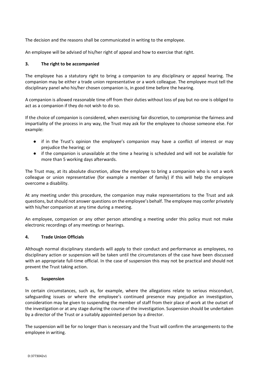The decision and the reasons shall be communicated in writing to the employee.

An employee will be advised of his/her right of appeal and how to exercise that right.

## **3. The right to be accompanied**

The employee has a statutory right to bring a companion to any disciplinary or appeal hearing. The companion may be either a trade union representative or a work colleague. The employee must tell the disciplinary panel who his/her chosen companion is, in good time before the hearing.

A companion is allowed reasonable time off from their duties without loss of pay but no-one is obliged to act as a companion if they do not wish to do so.

If the choice of companion is considered, when exercising fair discretion, to compromise the fairness and impartiality of the process in any way, the Trust may ask for the employee to choose someone else. For example:

- if in the Trust's opinion the employee's companion may have a conflict of interest or may prejudice the hearing; or
- if the companion is unavailable at the time a hearing is scheduled and will not be available for more than 5 working days afterwards.

The Trust may, at its absolute discretion, allow the employee to bring a companion who is not a work colleague or union representative (for example a member of family) if this will help the employee overcome a disability.

At any meeting under this procedure, the companion may make representations to the Trust and ask questions, but should not answer questions on the employee's behalf. The employee may confer privately with his/her companion at any time during a meeting.

An employee, companion or any other person attending a meeting under this policy must not make electronic recordings of any meetings or hearings.

## **4. Trade Union Officials**

Although normal disciplinary standards will apply to their conduct and performance as employees, no disciplinary action or suspension will be taken until the circumstances of the case have been discussed with an appropriate full-time official. In the case of suspension this may not be practical and should not prevent the Trust taking action.

## **5. Suspension**

In certain circumstances, such as, for example, where the allegations relate to serious misconduct, safeguarding issues or where the employee's continued presence may prejudice an investigation, consideration may be given to suspending the member of staff from their place of work at the outset of the investigation or at any stage during the course of the investigation. Suspension should be undertaken by a director of the Trust or a suitably appointed person by a director.

The suspension will be for no longer than is necessary and the Trust will confirm the arrangements to the employee in writing.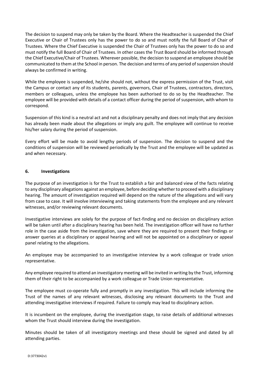The decision to suspend may only be taken by the Board. Where the Headteacher is suspended the Chief Executive or Chair of Trustees only has the power to do so and must notify the full Board of Chair of Trustees. Where the Chief Executive is suspended the Chair of Trustees only has the power to do so and must notify the full Board of Chair of Trustees. In other cases the Trust Board should be informed through the Chief Executive/Chair of Trustees. Wherever possible, the decision to suspend an employee should be communicated to them at the School in person. The decision and terms of any period of suspension should always be confirmed in writing.

While the employee is suspended, he/she should not, without the express permission of the Trust, visit the Campus or contact any of its students, parents, governors, Chair of Trustees, contractors, directors, members or colleagues, unless the employee has been authorised to do so by the Headteacher. The employee will be provided with details of a contact officer during the period of suspension, with whom to correspond.

Suspension of this kind is a neutral act and not a disciplinary penalty and does not imply that any decision has already been made about the allegations or imply any guilt. The employee will continue to receive his/her salary during the period of suspension.

Every effort will be made to avoid lengthy periods of suspension. The decision to suspend and the conditions of suspension will be reviewed periodically by the Trust and the employee will be updated as and when necessary.

## **6. Investigations**

The purpose of an investigation is for the Trust to establish a fair and balanced view of the facts relating to any disciplinary allegations against an employee, before deciding whether to proceed with a disciplinary hearing. The amount of investigation required will depend on the nature of the allegations and will vary from case to case. It will involve interviewing and taking statements from the employee and any relevant witnesses, and/or reviewing relevant documents.

Investigative interviews are solely for the purpose of fact-finding and no decision on disciplinary action will be taken until after a disciplinary hearing has been held. The investigation officer will have no further role in the case aside from the investigation, save where they are required to present their findings or answer queries at a disciplinary or appeal hearing and will not be appointed on a disciplinary or appeal panel relating to the allegations.

An employee may be accompanied to an investigative interview by a work colleague or trade union representative.

Any employee required to attend an investigatory meeting will be invited in writing by the Trust, informing them of their right to be accompanied by a work colleague or Trade Union representative.

The employee must co-operate fully and promptly in any investigation. This will include informing the Trust of the names of any relevant witnesses, disclosing any relevant documents to the Trust and attending investigative interviews if required. Failure to comply may lead to disciplinary action.

It is incumbent on the employee, during the investigation stage, to raise details of additional witnesses whom the Trust should interview during the investigation.

Minutes should be taken of all investigatory meetings and these should be signed and dated by all attending parties.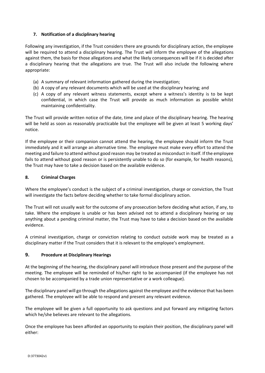## **7. Notification of a disciplinary hearing**

Following any investigation, if the Trust considers there are grounds for disciplinary action, the employee will be required to attend a disciplinary hearing. The Trust will inform the employee of the allegations against them, the basis for those allegations and what the likely consequences will be if it is decided after a disciplinary hearing that the allegations are true. The Trust will also include the following where appropriate:

- (a) A summary of relevant information gathered during the investigation;
- (b) A copy of any relevant documents which will be used at the disciplinary hearing; and
- (c) A copy of any relevant witness statements, except where a witness's identity is to be kept confidential, in which case the Trust will provide as much information as possible whilst maintaining confidentiality.

The Trust will provide written notice of the date, time and place of the disciplinary hearing. The hearing will be held as soon as reasonably practicable but the employee will be given at least 5 working days' notice.

If the employee or their companion cannot attend the hearing, the employee should inform the Trust immediately and it will arrange an alternative time. The employee must make every effort to attend the meeting and failure to attend without good reason may be treated as misconduct in itself. If the employee fails to attend without good reason or is persistently unable to do so (for example, for health reasons), the Trust may have to take a decision based on the available evidence.

## **8. Criminal Charges**

Where the employee's conduct is the subject of a criminal investigation, charge or conviction, the Trust will investigate the facts before deciding whether to take formal disciplinary action.

The Trust will not usually wait for the outcome of any prosecution before deciding what action, if any, to take. Where the employee is unable or has been advised not to attend a disciplinary hearing or say anything about a pending criminal matter, the Trust may have to take a decision based on the available evidence.

A criminal investigation, charge or conviction relating to conduct outside work may be treated as a disciplinary matter if the Trust considers that it is relevant to the employee's employment.

## **9. Procedure at Disciplinary Hearings**

At the beginning of the hearing, the disciplinary panel will introduce those present and the purpose of the meeting. The employee will be reminded of his/her right to be accompanied (if the employee has not chosen to be accompanied by a trade union representative or a work colleague).

The disciplinary panel will go through the allegations against the employee and the evidence that has been gathered. The employee will be able to respond and present any relevant evidence.

The employee will be given a full opportunity to ask questions and put forward any mitigating factors which he/she believes are relevant to the allegations.

Once the employee has been afforded an opportunity to explain their position, the disciplinary panel will either: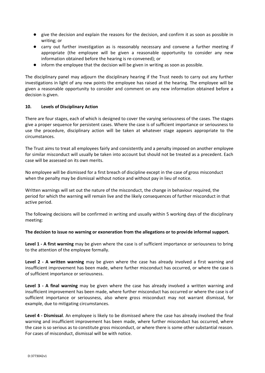- give the decision and explain the reasons for the decision, and confirm it as soon as possible in writing; or
- carry out further investigation as is reasonably necessary and convene a further meeting if appropriate (the employee will be given a reasonable opportunity to consider any new information obtained before the hearing is re-convened); or
- inform the employee that the decision will be given in writing as soon as possible.

The disciplinary panel may adjourn the disciplinary hearing if the Trust needs to carry out any further investigations in light of any new points the employee has raised at the hearing. The employee will be given a reasonable opportunity to consider and comment on any new information obtained before a decision is given.

## **10. Levels of Disciplinary Action**

There are four stages, each of which is designed to cover the varying seriousness of the cases. The stages give a proper sequence for persistent cases. Where the case is of sufficient importance or seriousness to use the procedure, disciplinary action will be taken at whatever stage appears appropriate to the circumstances.

The Trust aims to treat all employees fairly and consistently and a penalty imposed on another employee for similar misconduct will usually be taken into account but should not be treated as a precedent. Each case will be assessed on its own merits.

No employee will be dismissed for a first breach of discipline except in the case of gross misconduct when the penalty may be dismissal without notice and without pay in lieu of notice.

Written warnings will set out the nature of the misconduct, the change in behaviour required, the period for which the warning will remain live and the likely consequences of further misconduct in that active period.

The following decisions will be confirmed in writing and usually within 5 working days of the disciplinary meeting:

## **The decision to issue no warning or exoneration from the allegations or to provide informal support.**

**Level 1 - A first warning** may be given where the case is of sufficient importance or seriousness to bring to the attention of the employee formally.

**Level 2 - A written warning** may be given where the case has already involved a first warning and insufficient improvement has been made, where further misconduct has occurred, or where the case is of sufficient importance or seriousness.

**Level 3 - A final warning** may be given where the case has already involved a written warning and insufficient improvement has been made, where further misconduct has occurred or where the case is of sufficient importance or seriousness, also where gross misconduct may not warrant dismissal, for example, due to mitigating circumstances.

**Level 4 - Dismissal**. An employee is likely to be dismissed where the case has already involved the final warning and insufficient improvement has been made, where further misconduct has occurred, where the case is so serious as to constitute gross misconduct, or where there is some other substantial reason. For cases of misconduct, dismissal will be with notice.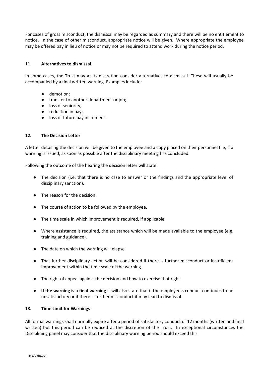For cases of gross misconduct, the dismissal may be regarded as summary and there will be no entitlement to notice. In the case of other misconduct, appropriate notice will be given. Where appropriate the employee may be offered pay in lieu of notice or may not be required to attend work during the notice period.

## **11. Alternatives to dismissal**

In some cases, the Trust may at its discretion consider alternatives to dismissal. These will usually be accompanied by a final written warning. Examples include:

- demotion;
- transfer to another department or job;
- loss of seniority;
- reduction in pay;
- loss of future pay increment.

## **12. The Decision Letter**

A letter detailing the decision will be given to the employee and a copy placed on their personnel file, if a warning is issued, as soon as possible after the disciplinary meeting has concluded.

Following the outcome of the hearing the decision letter will state:

- The decision (i.e. that there is no case to answer or the findings and the appropriate level of disciplinary sanction).
- The reason for the decision.
- The course of action to be followed by the employee.
- The time scale in which improvement is required, if applicable.
- Where assistance is required, the assistance which will be made available to the employee (e.g. training and guidance).
- The date on which the warning will elapse.
- That further disciplinary action will be considered if there is further misconduct or insufficient improvement within the time scale of the warning.
- The right of appeal against the decision and how to exercise that right.
- **If the warning is a final warning** it will also state that if the employee's conduct continues to be unsatisfactory or if there is further misconduct it may lead to dismissal.

## **13. Time Limit for Warnings**

All formal warnings shall normally expire after a period of satisfactory conduct of 12 months (written and final written) but this period can be reduced at the discretion of the Trust. In exceptional circumstances the Disciplining panel may consider that the disciplinary warning period should exceed this.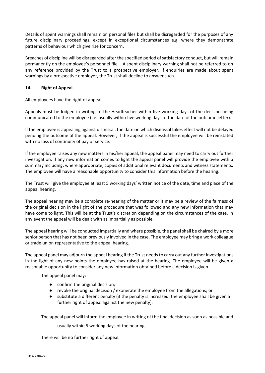Details of spent warnings shall remain on personal files but shall be disregarded for the purposes of any future disciplinary proceedings, except in exceptional circumstances e.g. where they demonstrate patterns of behaviour which give rise for concern.

Breaches of discipline will be disregarded after the specified period of satisfactory conduct, but will remain permanently on the employee's personnel file. A spent disciplinary warning shall not be referred to on any reference provided by the Trust to a prospective employer. If enquiries are made about spent warnings by a prospective employer, the Trust shall decline to answer such.

## **14. Right of Appeal**

All employees have the right of appeal.

Appeals must be lodged in writing to the Headteacher within five working days of the decision being communicated to the employee (i.e. usually within five working days of the date of the outcome letter).

If the employee is appealing against dismissal, the date on which dismissal takes effect will not be delayed pending the outcome of the appeal. However, if the appeal is successful the employee will be reinstated with no loss of continuity of pay or service.

If the employee raises any new matters in his/her appeal, the appeal panel may need to carry out further investigation. If any new information comes to light the appeal panel will provide the employee with a summary including, where appropriate, copies of additional relevant documents and witness statements. The employee will have a reasonable opportunity to consider this information before the hearing.

The Trust will give the employee at least 5 working days' written notice of the date, time and place of the appeal hearing.

The appeal hearing may be a complete re-hearing of the matter or it may be a review of the fairness of the original decision in the light of the procedure that was followed and any new information that may have come to light. This will be at the Trust's discretion depending on the circumstances of the case. In any event the appeal will be dealt with as impartially as possible.

The appeal hearing will be conducted impartially and where possible, the panel shall be chaired by a more senior person that has not been previously involved in the case. The employee may bring a work colleague or trade union representative to the appeal hearing.

The appeal panel may adjourn the appeal hearing if the Trust needs to carry out any further investigations in the light of any new points the employee has raised at the hearing. The employee will be given a reasonable opportunity to consider any new information obtained before a decision is given.

The appeal panel may:

- confirm the original decision;
- revoke the original decision / exonerate the employee from the allegations; or
- substitute a different penalty (if the penalty is increased, the employee shall be given a further right of appeal against the new penalty).

The appeal panel will inform the employee in writing of the final decision as soon as possible and

usually within 5 working days of the hearing.

There will be no further right of appeal.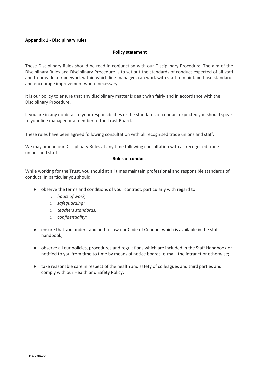## **Appendix 1 - Disciplinary rules**

#### **Policy statement**

These Disciplinary Rules should be read in conjunction with our Disciplinary Procedure. The aim of the Disciplinary Rules and Disciplinary Procedure is to set out the standards of conduct expected of all staff and to provide a framework within which line managers can work with staff to maintain those standards and encourage improvement where necessary.

It is our policy to ensure that any disciplinary matter is dealt with fairly and in accordance with the Disciplinary Procedure.

If you are in any doubt as to your responsibilities or the standards of conduct expected you should speak to your line manager or a member of the Trust Board.

These rules have been agreed following consultation with all recognised trade unions and staff.

We may amend our Disciplinary Rules at any time following consultation with all recognised trade unions and staff.

## **Rules of conduct**

While working for the Trust, you should at all times maintain professional and responsible standards of conduct. In particular you should:

- observe the terms and conditions of your contract, particularly with regard to:
	- o *hours of work;*
	- o *safeguarding;*
	- o *teachers standards;*
	- o *confidentiality;*
- ensure that you understand and follow our Code of Conduct which is available in the staff handbook;
- observe all our policies, procedures and regulations which are included in the Staff Handbook or notified to you from time to time by means of notice boards, e-mail, the intranet or otherwise;
- take reasonable care in respect of the health and safety of colleagues and third parties and comply with our Health and Safety Policy;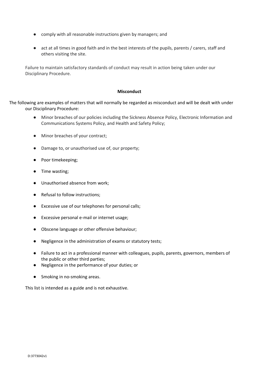- comply with all reasonable instructions given by managers; and
- act at all times in good faith and in the best interests of the pupils, parents / carers, staff and others visiting the site.

Failure to maintain satisfactory standards of conduct may result in action being taken under our Disciplinary Procedure.

#### **Misconduct**

The following are examples of matters that will normally be regarded as misconduct and will be dealt with under our Disciplinary Procedure:

- Minor breaches of our policies including the Sickness Absence Policy, Electronic Information and Communications Systems Policy, and Health and Safety Policy;
- Minor breaches of your contract;
- Damage to, or unauthorised use of, our property;
- Poor timekeeping;
- Time wasting;
- Unauthorised absence from work;
- Refusal to follow instructions;
- Excessive use of our telephones for personal calls;
- Excessive personal e-mail or internet usage;
- Obscene language or other offensive behaviour;
- Negligence in the administration of exams or statutory tests;
- Failure to act in a professional manner with colleagues, pupils, parents, governors, members of the public or other third parties;
- Negligence in the performance of your duties; or
- Smoking in no-smoking areas.

This list is intended as a guide and is not exhaustive.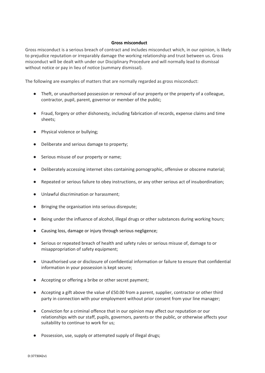## **Gross misconduct**

Gross misconduct is a serious breach of contract and includes misconduct which, in our opinion, is likely to prejudice reputation or irreparably damage the working relationship and trust between us. Gross misconduct will be dealt with under our Disciplinary Procedure and will normally lead to dismissal without notice or pay in lieu of notice (summary dismissal).

The following are examples of matters that are normally regarded as gross misconduct:

- Theft, or unauthorised possession or removal of our property or the property of a colleague, contractor, pupil, parent, governor or member of the public;
- Fraud, forgery or other dishonesty, including fabrication of records, expense claims and time sheets;
- Physical violence or bullying;
- Deliberate and serious damage to property;
- Serious misuse of our property or name;
- Deliberately accessing internet sites containing pornographic, offensive or obscene material;
- Repeated or serious failure to obey instructions, or any other serious act of insubordination;
- Unlawful discrimination or harassment;
- Bringing the organisation into serious disrepute;
- Being under the influence of alcohol, illegal drugs or other substances during working hours;
- Causing loss, damage or injury through serious negligence;
- Serious or repeated breach of health and safety rules or serious misuse of, damage to or misappropriation of safety equipment;
- Unauthorised use or disclosure of confidential information or failure to ensure that confidential information in your possession is kept secure;
- Accepting or offering a bribe or other secret payment;
- Accepting a gift above the value of £50.00 from a parent, supplier, contractor or other third party in connection with your employment without prior consent from your line manager;
- Conviction for a criminal offence that in our opinion may affect our reputation or our relationships with our staff, pupils, governors, parents or the public, or otherwise affects your suitability to continue to work for us;
- Possession, use, supply or attempted supply of illegal drugs;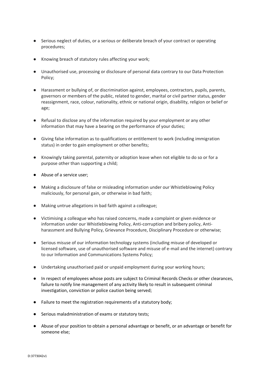- Serious neglect of duties, or a serious or deliberate breach of your contract or operating procedures;
- Knowing breach of statutory rules affecting your work;
- Unauthorised use, processing or disclosure of personal data contrary to our Data Protection Policy;
- Harassment or bullying of, or discrimination against, employees, contractors, pupils, parents, governors or members of the public, related to gender, marital or civil partner status, gender reassignment, race, colour, nationality, ethnic or national origin, disability, religion or belief or age;
- Refusal to disclose any of the information required by your employment or any other information that may have a bearing on the performance of your duties;
- Giving false information as to qualifications or entitlement to work (including immigration status) in order to gain employment or other benefits;
- Knowingly taking parental, paternity or adoption leave when not eligible to do so or for a purpose other than supporting a child;
- Abuse of a service user;
- Making a disclosure of false or misleading information under our Whistleblowing Policy maliciously, for personal gain, or otherwise in bad faith;
- Making untrue allegations in bad faith against a colleague;
- Victimising a colleague who has raised concerns, made a complaint or given evidence or information under our Whistleblowing Policy, Anti-corruption and bribery policy, Antiharassment and Bullying Policy, Grievance Procedure, Disciplinary Procedure or otherwise;
- Serious misuse of our information technology systems (including misuse of developed or licensed software, use of unauthorised software and misuse of e-mail and the internet) contrary to our Information and Communications Systems Policy;
- Undertaking unauthorised paid or unpaid employment during your working hours;
- In respect of employees whose posts are subject to Criminal Records Checks or other clearances, failure to notify line management of any activity likely to result in subsequent criminal investigation, conviction or police caution being served;
- Failure to meet the registration requirements of a statutory body;
- Serious maladministration of exams or statutory tests;
- Abuse of your position to obtain a personal advantage or benefit, or an advantage or benefit for someone else;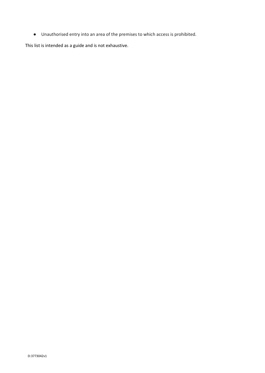● Unauthorised entry into an area of the premises to which access is prohibited.

This list is intended as a guide and is not exhaustive.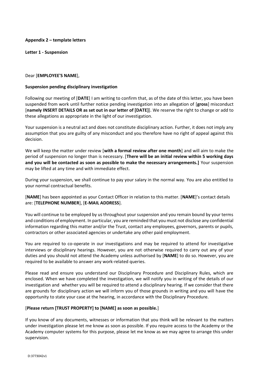## **Appendix 2 – template letters**

**Letter 1 - Suspension**

#### Dear [**EMPLOYEE'S NAME**],

#### **Suspension pending disciplinary investigation**

Following our meeting of [**DATE**] I am writing to confirm that, as of the date of this letter, you have been suspended from work until further notice pending investigation into an allegation of [**gross**] misconduct [**namely INSERT DETAILS OR as set out in our letter of [DATE]**]. We reserve the right to change or add to these allegations as appropriate in the light of our investigation.

Your suspension is a neutral act and does not constitute disciplinary action. Further, it does not imply any assumption that you are guilty of any misconduct and you therefore have no right of appeal against this decision.

We will keep the matter under review [**with a formal review after one month**] and will aim to make the period of suspension no longer than is necessary. [**There will be an initial review within 5 working days and you will be contacted as soon as possible to make the necessary arrangements.]** Your suspension may be lifted at any time and with immediate effect.

During your suspension, we shall continue to pay your salary in the normal way. You are also entitled to your normal contractual benefits.

[**NAME**] has been appointed as your Contact Officer in relation to this matter. [**NAME**]'s contact details are: [**TELEPHONE NUMBER**], [**E-MAIL ADDRESS**].

You will continue to be employed by us throughout your suspension and you remain bound by your terms and conditions of employment. In particular, you are reminded that you must not disclose any confidential information regarding this matter and/or the Trust, contact any employees, governors, parents or pupils, contractors or other associated agencies or undertake any other paid employment.

You are required to co-operate in our investigations and may be required to attend for investigative interviews or disciplinary hearings. However, you are not otherwise required to carry out any of your duties and you should not attend the Academy unless authorised by [**NAME**] to do so. However, you are required to be available to answer any work-related queries.

Please read and ensure you understand our Disciplinary Procedure and Disciplinary Rules, which are enclosed. When we have completed the investigation, we will notify you in writing of the details of our investigation and whether you will be required to attend a disciplinary hearing. If we consider that there are grounds for disciplinary action we will inform you of those grounds in writing and you will have the opportunity to state your case at the hearing, in accordance with the Disciplinary Procedure.

## [**Please return [TRUST PROPERTY] to [NAME] as soon as possible.**]

If you know of any documents, witnesses or information that you think will be relevant to the matters under investigation please let me know as soon as possible. If you require access to the Academy or the Academy computer systems for this purpose, please let me know as we may agree to arrange this under supervision.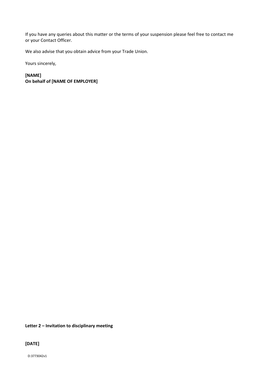If you have any queries about this matter or the terms of your suspension please feel free to contact me or your Contact Officer.

We also advise that you obtain advice from your Trade Union.

Yours sincerely,

**[NAME] On behalf of [NAME OF EMPLOYER]**

## **Letter 2 – Invitation to disciplinary meeting**

**[DATE]**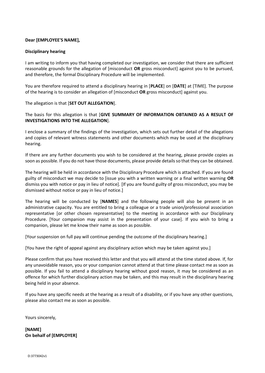## **Dear [EMPLOYEE'S NAME],**

## **Disciplinary hearing**

I am writing to inform you that having completed our investigation, we consider that there are sufficient reasonable grounds for the allegation of [misconduct **OR** gross misconduct] against you to be pursued, and therefore, the formal Disciplinary Procedure will be implemented.

You are therefore required to attend a disciplinary hearing in [**PLACE**] on [**DATE**] at [TIME]. The purpose of the hearing is to consider an allegation of [misconduct **OR** gross misconduct] against you.

The allegation is that [**SET OUT ALLEGATION**].

The basis for this allegation is that [**GIVE SUMMARY OF INFORMATION OBTAINED AS A RESULT OF INVESTIGATIONS INTO THE ALLEGATION**].

I enclose a summary of the findings of the investigation, which sets out further detail of the allegations and copies of relevant witness statements and other documents which may be used at the disciplinary hearing.

If there are any further documents you wish to be considered at the hearing, please provide copies as soon as possible. If you do not have those documents, please provide details so that they can be obtained.

The hearing will be held in accordance with the Disciplinary Procedure which is attached. If you are found guilty of misconduct we may decide to [issue you with a written warning or a final written warning **OR** dismiss you with notice or pay in lieu of notice]. [If you are found guilty of gross misconduct, you may be dismissed without notice or pay in lieu of notice.]

The hearing will be conducted by [**NAMES**] and the following people will also be present in an administrative capacity. You are entitled to bring a colleague or a trade union/professional association representative [or other chosen representative] to the meeting in accordance with our Disciplinary Procedure. [Your companion may assist in the presentation of your case]. If you wish to bring a companion, please let me know their name as soon as possible.

[Your suspension on full pay will continue pending the outcome of the disciplinary hearing.]

[You have the right of appeal against any disciplinary action which may be taken against you.]

Please confirm that you have received this letter and that you will attend at the time stated above. If, for any unavoidable reason, you or your companion cannot attend at that time please contact me as soon as possible. If you fail to attend a disciplinary hearing without good reason, it may be considered as an offence for which further disciplinary action may be taken, and this may result in the disciplinary hearing being held in your absence.

If you have any specific needs at the hearing as a result of a disability, or if you have any other questions, please also contact me as soon as possible.

Yours sincerely,

**[NAME] On behalf of [EMPLOYER]**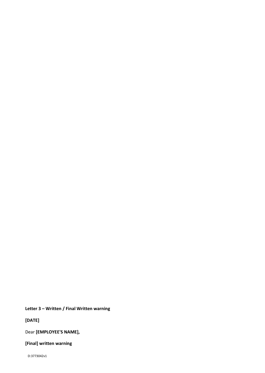**Letter 3 – Written / Final Written warning**

**[DATE]**

Dear **[EMPLOYEE'S NAME],**

**[Final] written warning**

D:3773042v1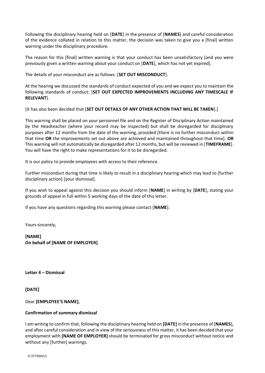Following the disciplinary hearing held on [**DATE**] in the presence of [**NAMES**] and careful consideration of the evidence collated in relation to this matter, the decision was taken to give you a [final] written warning under the disciplinary procedure.

The reason for this [final] written warning is that your conduct has been unsatisfactory [and you were previously given a written warning about your conduct on [**DATE**], which has not yet expired].

The details of your misconduct are as follows: [**SET OUT MISCONDUCT**].

At the hearing we discussed the standards of conduct expected of you and we expect you to maintain the following standards of conduct: [**SET OUT EXPECTED IMPROVEMENTS INCLUDING ANY TIMESCALE IF RELEVANT**].

[It has also been decided that [**SET OUT DETAILS OF ANY OTHER ACTION THAT WILL BE TAKEN**].]

This warning shall be placed on your personnel file and on the Register of Disciplinary Action maintained by the Headteacher (where your record may be inspected) but shall be disregarded for disciplinary purposes after 12 months from the date of the warning, provided [there is no further misconduct within that time **OR** the improvements set out above are achieved and maintained throughout that time]. **OR** This warning will not automatically be disregarded after 12 months, but will be reviewed in [**TIMEFRAME**]. You will have the right to make representations for it to be disregarded.

It is our policy to provide employees with access to their reference.

Further misconduct during that time is likely to result in a disciplinary hearing which may lead to [further disciplinary action] [your dismissal].

If you wish to appeal against this decision you should inform [**NAME**] in writing by [**DATE**], stating your grounds of appeal in full within 5 working days of the date of this letter.

If you have any questions regarding this warning please contact [**NAME**].

Yours sincerely,

**[NAME] On behalf of [NAME OF EMPLOYER]**

**Letter 4 – Dismissal**

**[DATE]** 

Dear **[EMPLOYEE'S NAME]**,

## **Confirmation of summary dismissal**

I am writing to confirm that, following the disciplinary hearing held on **[DATE]** in the presence of [**NAMES**]**,** and after careful consideration and in view of the seriousness of this matter, it has been decided that your employment with **[NAME OF EMPLOYER]** should be terminated for gross misconduct without notice and without any [further] warnings.